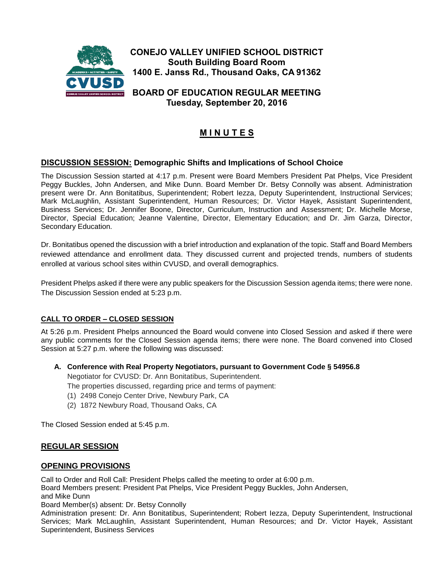

**Tuesday, September 20, 2016**

# **M I N U T E S**

# **DISCUSSION SESSION: Demographic Shifts and Implications of School Choice**

The Discussion Session started at 4:17 p.m. Present were Board Members President Pat Phelps, Vice President Peggy Buckles, John Andersen, and Mike Dunn. Board Member Dr. Betsy Connolly was absent. Administration present were Dr. Ann Bonitatibus, Superintendent; Robert Iezza, Deputy Superintendent, Instructional Services; Mark McLaughlin, Assistant Superintendent, Human Resources; Dr. Victor Hayek, Assistant Superintendent, Business Services; Dr. Jennifer Boone, Director, Curriculum, Instruction and Assessment; Dr. Michelle Morse, Director, Special Education; Jeanne Valentine, Director, Elementary Education; and Dr. Jim Garza, Director, Secondary Education.

Dr. Bonitatibus opened the discussion with a brief introduction and explanation of the topic. Staff and Board Members reviewed attendance and enrollment data. They discussed current and projected trends, numbers of students enrolled at various school sites within CVUSD, and overall demographics.

President Phelps asked if there were any public speakers for the Discussion Session agenda items; there were none. The Discussion Session ended at 5:23 p.m.

## **CALL TO ORDER – CLOSED SESSION**

At 5:26 p.m. President Phelps announced the Board would convene into Closed Session and asked if there were any public comments for the Closed Session agenda items; there were none. The Board convened into Closed Session at 5:27 p.m. where the following was discussed:

**A. Conference with Real Property Negotiators, pursuant to Government Code § 54956.8** 

Negotiator for CVUSD: Dr. Ann Bonitatibus, Superintendent.

The properties discussed, regarding price and terms of payment:

- (1) 2498 Conejo Center Drive, Newbury Park, CA
- (2) 1872 Newbury Road, Thousand Oaks, CA

The Closed Session ended at 5:45 p.m.

#### **REGULAR SESSION**

#### **OPENING PROVISIONS**

Call to Order and Roll Call: President Phelps called the meeting to order at 6:00 p.m.

Board Members present: President Pat Phelps, Vice President Peggy Buckles, John Andersen,

and Mike Dunn

Board Member(s) absent: Dr. Betsy Connolly

Administration present: Dr. Ann Bonitatibus, Superintendent; Robert Iezza, Deputy Superintendent, Instructional Services; Mark McLaughlin, Assistant Superintendent, Human Resources; and Dr. Victor Hayek, Assistant Superintendent, Business Services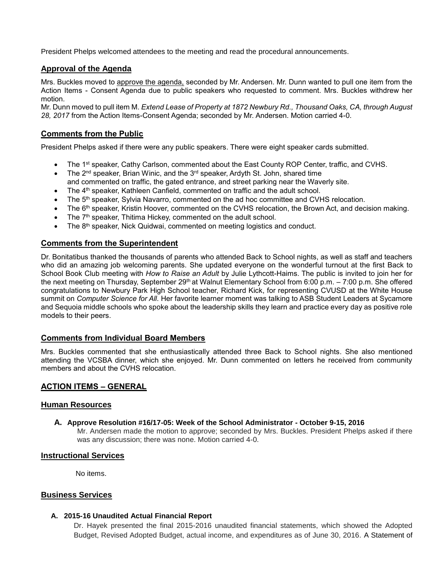President Phelps welcomed attendees to the meeting and read the procedural announcements.

# **Approval of the Agenda**

Mrs. Buckles moved to approve the agenda, seconded by Mr. Andersen. Mr. Dunn wanted to pull one item from the Action Items - Consent Agenda due to public speakers who requested to comment. Mrs. Buckles withdrew her motion.

Mr. Dunn moved to pull item M. *Extend Lease of Property at 1872 Newbury Rd., Thousand Oaks, CA, through August 28, 2017* from the Action Items-Consent Agenda; seconded by Mr. Andersen. Motion carried 4-0.

# **Comments from the Public**

President Phelps asked if there were any public speakers. There were eight speaker cards submitted.

- The 1<sup>st</sup> speaker, Cathy Carlson, commented about the East County ROP Center, traffic, and CVHS.
- The 2<sup>nd</sup> speaker, Brian Winic, and the  $3<sup>rd</sup>$  speaker, Ardyth St. John, shared time and commented on traffic, the gated entrance, and street parking near the Waverly site.
- 
- The 4th speaker, Kathleen Canfield, commented on traffic and the adult school.
- The 5<sup>th</sup> speaker, Sylvia Navarro, commented on the ad hoc committee and CVHS relocation.
- The 6<sup>th</sup> speaker, Kristin Hoover, commented on the CVHS relocation, the Brown Act, and decision making.
- The 7<sup>th</sup> speaker, Thitima Hickey, commented on the adult school.
- The 8<sup>th</sup> speaker, Nick Quidwai, commented on meeting logistics and conduct.

# **Comments from the Superintendent**

Dr. Bonitatibus thanked the thousands of parents who attended Back to School nights, as well as staff and teachers who did an amazing job welcoming parents. She updated everyone on the wonderful turnout at the first Back to School Book Club meeting with *How to Raise an Adult* by Julie Lythcott-Haims. The public is invited to join her for the next meeting on Thursday, September 29<sup>th</sup> at Walnut Elementary School from 6:00 p.m. – 7:00 p.m. She offered congratulations to Newbury Park High School teacher, Richard Kick, for representing CVUSD at the White House summit on *Computer Science for All.* Her favorite learner moment was talking to ASB Student Leaders at Sycamore and Sequoia middle schools who spoke about the leadership skills they learn and practice every day as positive role models to their peers.

## **Comments from Individual Board Members**

Mrs. Buckles commented that she enthusiastically attended three Back to School nights. She also mentioned attending the VCSBA dinner, which she enjoyed. Mr. Dunn commented on letters he received from community members and about the CVHS relocation.

## **ACTION ITEMS – GENERAL**

#### **Human Resources**

#### **A. Approve Resolution #16/17-05: Week of the School Administrator - October 9-15, 2016**

Mr. Andersen made the motion to approve; seconded by Mrs. Buckles. President Phelps asked if there was any discussion; there was none. Motion carried 4-0.

## **Instructional Services**

No items.

#### **Business Services**

#### **A. 2015-16 Unaudited Actual Financial Report**

Dr. Hayek presented the final 2015-2016 unaudited financial statements, which showed the Adopted Budget, Revised Adopted Budget, actual income, and expenditures as of June 30, 2016. A Statement of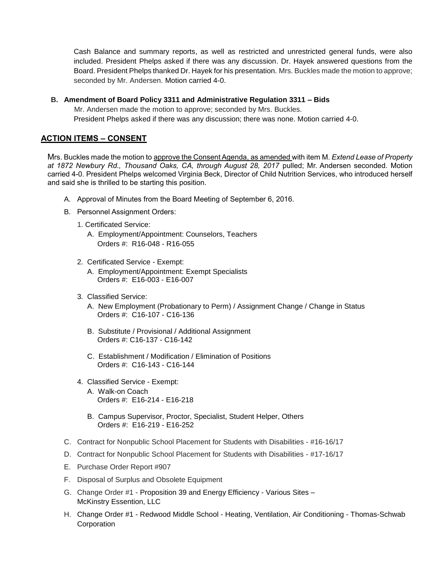Cash Balance and summary reports, as well as restricted and unrestricted general funds, were also included. President Phelps asked if there was any discussion. Dr. Hayek answered questions from the Board. President Phelps thanked Dr. Hayek for his presentation. Mrs. Buckles made the motion to approve; seconded by Mr. Andersen. Motion carried 4-0.

#### **B. Amendment of Board Policy 3311 and Administrative Regulation 3311 – Bids**

Mr. Andersen made the motion to approve; seconded by Mrs. Buckles. President Phelps asked if there was any discussion; there was none. Motion carried 4-0.

# **ACTION ITEMS – CONSENT**

Mrs. Buckles made the motion to approve the Consent Agenda, as amended with item M. *Extend Lease of Property*  at 1872 Newbury Rd., Thousand Oaks, CA, through August 28, 2017 pulled; Mr. Andersen seconded. Motion carried 4-0. President Phelps welcomed Virginia Beck, Director of Child Nutrition Services, who introduced herself and said she is thrilled to be starting this position.

- A. Approval of Minutes from the Board Meeting of September 6, 2016.
- B. Personnel Assignment Orders:
	- 1. Certificated Service:
		- A. Employment/Appointment: Counselors, Teachers Orders #: R16-048 - R16-055
	- 2. Certificated Service Exempt:
		- A. Employment/Appointment: Exempt Specialists Orders #: E16-003 - E16-007
	- 3. Classified Service:
		- A. New Employment (Probationary to Perm) / Assignment Change / Change in Status Orders #: C16-107 - C16-136
		- B. Substitute / Provisional / Additional Assignment Orders #: C16-137 - C16-142
		- C. Establishment / Modification / Elimination of Positions Orders #: C16-143 - C16-144
	- 4. Classified Service Exempt:
		- A. Walk-on Coach Orders #: E16-214 - E16-218
		- B. Campus Supervisor, Proctor, Specialist, Student Helper, Others Orders #: E16-219 - E16-252
- C. Contract for Nonpublic School Placement for Students with Disabilities #16-16/17
- D. Contract for Nonpublic School Placement for Students with Disabilities #17-16/17
- E. Purchase Order Report #907
- F. Disposal of Surplus and Obsolete Equipment
- G. Change Order #1 Proposition 39 and Energy Efficiency Various Sites McKinstry Essention, LLC
- H. Change Order #1 Redwood Middle School Heating, Ventilation, Air Conditioning Thomas-Schwab **Corporation**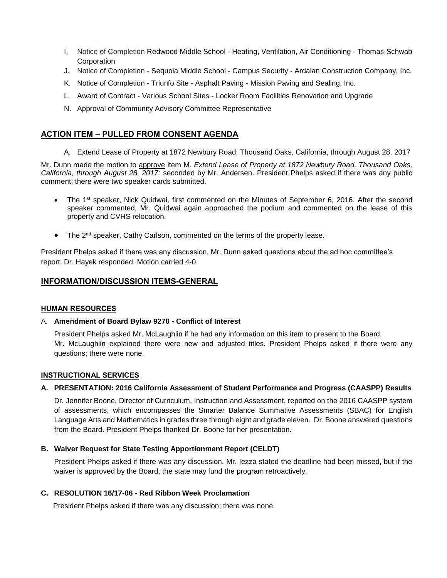- I. Notice of Completion Redwood Middle School Heating, Ventilation, Air Conditioning Thomas-Schwab Corporation
- J. Notice of Completion Sequoia Middle School Campus Security Ardalan Construction Company, Inc.
- K. Notice of Completion Triunfo Site Asphalt Paving Mission Paving and Sealing, Inc.
- L. Award of Contract Various School Sites Locker Room Facilities Renovation and Upgrade
- N. Approval of Community Advisory Committee Representative

# **ACTION ITEM – PULLED FROM CONSENT AGENDA**

A. Extend Lease of Property at 1872 Newbury Road, Thousand Oaks, California, through August 28, 2017

Mr. Dunn made the motion to approve item M*. Extend Lease of Property at 1872 Newbury Road, Thousand Oaks, California, through August 28, 2017;* seconded by Mr. Andersen. President Phelps asked if there was any public comment; there were two speaker cards submitted.

- The 1st speaker, Nick Quidwai, first commented on the Minutes of September 6, 2016. After the second speaker commented, Mr. Quidwai again approached the podium and commented on the lease of this property and CVHS relocation.
- $\bullet$  The 2<sup>nd</sup> speaker, Cathy Carlson, commented on the terms of the property lease.

President Phelps asked if there was any discussion. Mr. Dunn asked questions about the ad hoc committee's report; Dr. Hayek responded. Motion carried 4-0.

## **INFORMATION/DISCUSSION ITEMS-GENERAL**

#### **HUMAN RESOURCES**

#### A. **Amendment of Board Bylaw 9270 - Conflict of Interest**

President Phelps asked Mr. McLaughlin if he had any information on this item to present to the Board. Mr. McLaughlin explained there were new and adjusted titles. President Phelps asked if there were any questions; there were none.

#### **INSTRUCTIONAL SERVICES**

## **A. PRESENTATION: 2016 California Assessment of Student Performance and Progress (CAASPP) Results**

Dr. Jennifer Boone, Director of Curriculum, Instruction and Assessment, reported on the 2016 CAASPP system of assessments, which encompasses the Smarter Balance Summative Assessments (SBAC) for English Language Arts and Mathematics in grades three through eight and grade eleven. Dr. Boone answered questions from the Board. President Phelps thanked Dr. Boone for her presentation.

## **B. Waiver Request for State Testing Apportionment Report (CELDT)**

President Phelps asked if there was any discussion. Mr. Iezza stated the deadline had been missed, but if the waiver is approved by the Board, the state may fund the program retroactively.

#### **C. RESOLUTION 16/17-06 - Red Ribbon Week Proclamation**

President Phelps asked if there was any discussion; there was none.